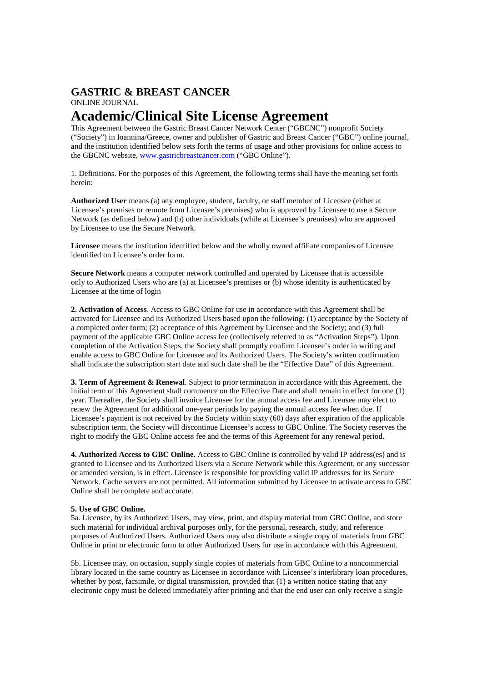### **GASTRIC & BREAST CANCER**  ONLINE JOURNAL

## **Academic/Clinical Site License Agreement**

This Agreement between the Gastric Breast Cancer Network Center ("GBCNC") nonprofit Society ("Society") in Ioannina/Greece, owner and publisher of Gastric and Breast Cancer ("GBC") online journal, and the institution identified below sets forth the terms of usage and other provisions for online access to the GBCNC website, www.gastricbreastcancer.com ("GBC Online").

1. Definitions. For the purposes of this Agreement, the following terms shall have the meaning set forth herein:

**Authorized User** means (a) any employee, student, faculty, or staff member of Licensee (either at Licensee's premises or remote from Licensee's premises) who is approved by Licensee to use a Secure Network (as defined below) and (b) other individuals (while at Licensee's premises) who are approved by Licensee to use the Secure Network.

**Licensee** means the institution identified below and the wholly owned affiliate companies of Licensee identified on Licensee's order form.

**Secure Network** means a computer network controlled and operated by Licensee that is accessible only to Authorized Users who are (a) at Licensee's premises or (b) whose identity is authenticated by Licensee at the time of login

**2. Activation of Access**. Access to GBC Online for use in accordance with this Agreement shall be activated for Licensee and its Authorized Users based upon the following: (1) acceptance by the Society of a completed order form; (2) acceptance of this Agreement by Licensee and the Society; and (3) full payment of the applicable GBC Online access fee (collectively referred to as "Activation Steps"). Upon completion of the Activation Steps, the Society shall promptly confirm Licensee's order in writing and enable access to GBC Online for Licensee and its Authorized Users. The Society's written confirmation shall indicate the subscription start date and such date shall be the "Effective Date" of this Agreement.

**3. Term of Agreement & Renewal**. Subject to prior termination in accordance with this Agreement, the initial term of this Agreement shall commence on the Effective Date and shall remain in effect for one (1) year. Thereafter, the Society shall invoice Licensee for the annual access fee and Licensee may elect to renew the Agreement for additional one-year periods by paying the annual access fee when due. If Licensee's payment is not received by the Society within sixty (60) days after expiration of the applicable subscription term, the Society will discontinue Licensee's access to GBC Online. The Society reserves the right to modify the GBC Online access fee and the terms of this Agreement for any renewal period.

**4. Authorized Access to GBC Online.** Access to GBC Online is controlled by valid IP address(es) and is granted to Licensee and its Authorized Users via a Secure Network while this Agreement, or any successor or amended version, is in effect. Licensee is responsible for providing valid IP addresses for its Secure Network. Cache servers are not permitted. All information submitted by Licensee to activate access to GBC Online shall be complete and accurate.

#### **5. Use of GBC Online.**

5a. Licensee, by its Authorized Users, may view, print, and display material from GBC Online, and store such material for individual archival purposes only, for the personal, research, study, and reference purposes of Authorized Users. Authorized Users may also distribute a single copy of materials from GBC Online in print or electronic form to other Authorized Users for use in accordance with this Agreement.

5b. Licensee may, on occasion, supply single copies of materials from GBC Online to a noncommercial library located in the same country as Licensee in accordance with Licensee's interlibrary loan procedures, whether by post, facsimile, or digital transmission, provided that (1) a written notice stating that any electronic copy must be deleted immediately after printing and that the end user can only receive a single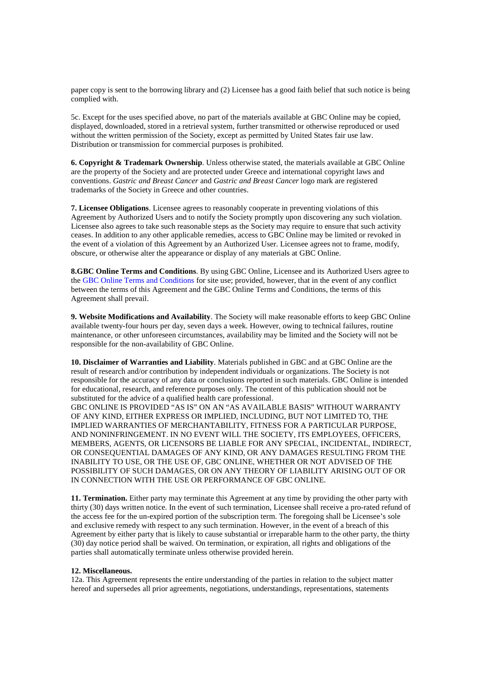paper copy is sent to the borrowing library and (2) Licensee has a good faith belief that such notice is being complied with.

5c. Except for the uses specified above, no part of the materials available at GBC Online may be copied, displayed, downloaded, stored in a retrieval system, further transmitted or otherwise reproduced or used without the written permission of the Society, except as permitted by United States fair use law. Distribution or transmission for commercial purposes is prohibited.

**6. Copyright & Trademark Ownership**. Unless otherwise stated, the materials available at GBC Online are the property of the Society and are protected under Greece and international copyright laws and conventions. *Gastric and Breast Cancer* and *Gastric and Breast Cancer* logo mark are registered trademarks of the Society in Greece and other countries.

**7. Licensee Obligations**. Licensee agrees to reasonably cooperate in preventing violations of this Agreement by Authorized Users and to notify the Society promptly upon discovering any such violation. Licensee also agrees to take such reasonable steps as the Society may require to ensure that such activity ceases. In addition to any other applicable remedies, access to GBC Online may be limited or revoked in the event of a violation of this Agreement by an Authorized User. Licensee agrees not to frame, modify, obscure, or otherwise alter the appearance or display of any materials at GBC Online.

**8.GBC Online Terms and Conditions**. By using GBC Online, Licensee and its Authorized Users agree to the GBC Online Terms and Conditions for site use; provided, however, that in the event of any conflict between the terms of this Agreement and the GBC Online Terms and Conditions, the terms of this Agreement shall prevail.

**9. Website Modifications and Availability**. The Society will make reasonable efforts to keep GBC Online available twenty-four hours per day, seven days a week. However, owing to technical failures, routine maintenance, or other unforeseen circumstances, availability may be limited and the Society will not be responsible for the non-availability of GBC Online.

**10. Disclaimer of Warranties and Liability**. Materials published in GBC and at GBC Online are the result of research and/or contribution by independent individuals or organizations. The Society is not responsible for the accuracy of any data or conclusions reported in such materials. GBC Online is intended for educational, research, and reference purposes only. The content of this publication should not be substituted for the advice of a qualified health care professional.

GBC ONLINE IS PROVIDED "AS IS" ON AN "AS AVAILABLE BASIS" WITHOUT WARRANTY OF ANY KIND, EITHER EXPRESS OR IMPLIED, INCLUDING, BUT NOT LIMITED TO, THE IMPLIED WARRANTIES OF MERCHANTABILITY, FITNESS FOR A PARTICULAR PURPOSE, AND NONINFRINGEMENT. IN NO EVENT WILL THE SOCIETY, ITS EMPLOYEES, OFFICERS, MEMBERS, AGENTS, OR LICENSORS BE LIABLE FOR ANY SPECIAL, INCIDENTAL, INDIRECT, OR CONSEQUENTIAL DAMAGES OF ANY KIND, OR ANY DAMAGES RESULTING FROM THE INABILITY TO USE, OR THE USE OF, GBC ONLINE, WHETHER OR NOT ADVISED OF THE POSSIBILITY OF SUCH DAMAGES, OR ON ANY THEORY OF LIABILITY ARISING OUT OF OR IN CONNECTION WITH THE USE OR PERFORMANCE OF GBC ONLINE.

**11. Termination.** Either party may terminate this Agreement at any time by providing the other party with thirty (30) days written notice. In the event of such termination, Licensee shall receive a pro-rated refund of the access fee for the un-expired portion of the subscription term. The foregoing shall be Licensee's sole and exclusive remedy with respect to any such termination. However, in the event of a breach of this Agreement by either party that is likely to cause substantial or irreparable harm to the other party, the thirty (30) day notice period shall be waived. On termination, or expiration, all rights and obligations of the parties shall automatically terminate unless otherwise provided herein.

#### **12. Miscellaneous.**

12a. This Agreement represents the entire understanding of the parties in relation to the subject matter hereof and supersedes all prior agreements, negotiations, understandings, representations, statements